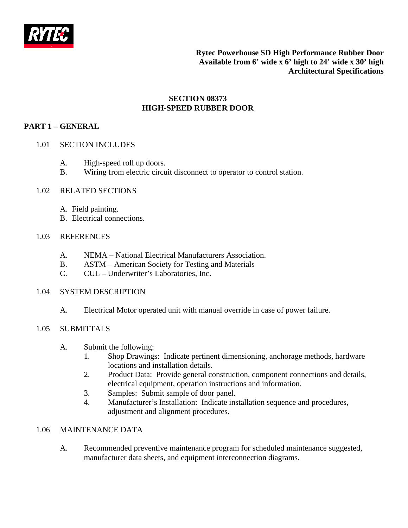

## **SECTION 08373 HIGH-SPEED RUBBER DOOR**

# **PART 1 – GENERAL**

- 1.01 SECTION INCLUDES
	- A. High-speed roll up doors.
	- B. Wiring from electric circuit disconnect to operator to control station.
- 1.02 RELATED SECTIONS
	- A. Field painting.
	- B. Electrical connections.

## 1.03 REFERENCES

- A. NEMA National Electrical Manufacturers Association.
- B. ASTM American Society for Testing and Materials
- C. CUL Underwriter's Laboratories, Inc.

## 1.04 SYSTEM DESCRIPTION

A. Electrical Motor operated unit with manual override in case of power failure.

## 1.05 SUBMITTALS

- A. Submit the following:
	- 1. Shop Drawings: Indicate pertinent dimensioning, anchorage methods, hardware locations and installation details.
	- 2. Product Data: Provide general construction, component connections and details, electrical equipment, operation instructions and information.
	- 3. Samples: Submit sample of door panel.
	- 4. Manufacturer's Installation: Indicate installation sequence and procedures, adjustment and alignment procedures.

# 1.06 MAINTENANCE DATA

A. Recommended preventive maintenance program for scheduled maintenance suggested, manufacturer data sheets, and equipment interconnection diagrams.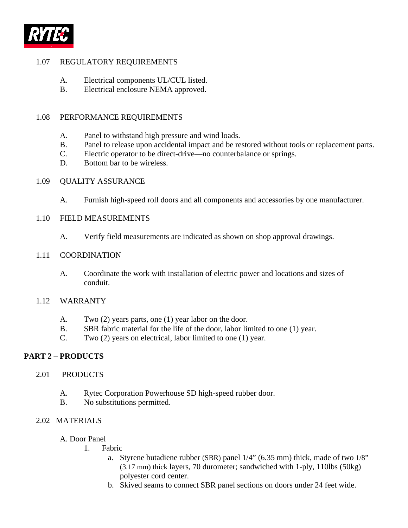

## 1.07 REGULATORY REQUIREMENTS

- A. Electrical components UL/CUL listed.
- B. Electrical enclosure NEMA approved.

### 1.08 PERFORMANCE REQUIREMENTS

- A. Panel to withstand high pressure and wind loads.
- B. Panel to release upon accidental impact and be restored without tools or replacement parts.
- C. Electric operator to be direct-drive—no counterbalance or springs.
- D. Bottom bar to be wireless.

#### 1.09 QUALITY ASSURANCE

A. Furnish high-speed roll doors and all components and accessories by one manufacturer.

### 1.10 FIELD MEASUREMENTS

A. Verify field measurements are indicated as shown on shop approval drawings.

#### 1.11 COORDINATION

A. Coordinate the work with installation of electric power and locations and sizes of conduit.

#### 1.12 WARRANTY

- A. Two (2) years parts, one (1) year labor on the door.
- B. SBR fabric material for the life of the door, labor limited to one (1) year.
- C. Two (2) years on electrical, labor limited to one (1) year.

### **PART 2 – PRODUCTS**

#### 2.01 PRODUCTS

- A. Rytec Corporation Powerhouse SD high-speed rubber door.
- B. No substitutions permitted.

#### 2.02 MATERIALS

- A. Door Panel
	- 1. Fabric
		- a. Styrene butadiene rubber (SBR) panel 1/4" (6.35 mm) thick, made of two 1/8" (3.17 mm) thick layers, 70 durometer; sandwiched with 1-ply, 110lbs (50kg) polyester cord center.
		- b. Skived seams to connect SBR panel sections on doors under 24 feet wide.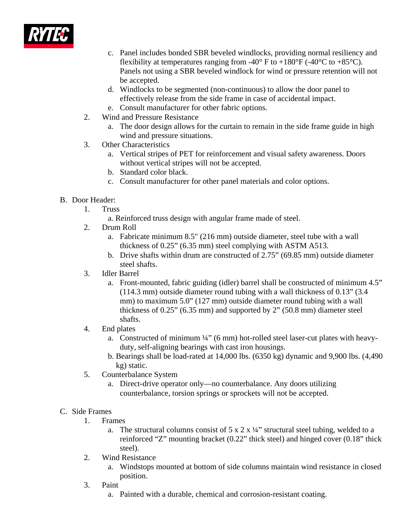

- c. Panel includes bonded SBR beveled windlocks, providing normal resiliency and flexibility at temperatures ranging from -40° F to +180°F (-40°C to +85°C). Panels not using a SBR beveled windlock for wind or pressure retention will not be accepted.
- d. Windlocks to be segmented (non-continuous) to allow the door panel to effectively release from the side frame in case of accidental impact.
- e. Consult manufacturer for other fabric options.
- 2. Wind and Pressure Resistance
	- a. The door design allows for the curtain to remain in the side frame guide in high wind and pressure situations.
- 3. Other Characteristics
	- a. Vertical stripes of PET for reinforcement and visual safety awareness. Doors without vertical stripes will not be accepted.
	- b. Standard color black.
	- c. Consult manufacturer for other panel materials and color options.

## B. Door Header:

- 1. Truss
	- a. Reinforced truss design with angular frame made of steel.
- 2. Drum Roll
	- a. Fabricate minimum 8.5" (216 mm) outside diameter, steel tube with a wall thickness of 0.25" (6.35 mm) steel complying with ASTM A513.
	- b. Drive shafts within drum are constructed of 2.75" (69.85 mm) outside diameter steel shafts.
- 3. Idler Barrel
	- a. Front-mounted, fabric guiding (idler) barrel shall be constructed of minimum 4.5" (114.3 mm) outside diameter round tubing with a wall thickness of 0.13" (3.4 mm) to maximum 5.0" (127 mm) outside diameter round tubing with a wall thickness of 0.25" (6.35 mm) and supported by 2" (50.8 mm) diameter steel shafts.
- 4. End plates
	- a. Constructed of minimum ¼" (6 mm) hot-rolled steel laser-cut plates with heavyduty, self-aligning bearings with cast iron housings.
	- b. Bearings shall be load-rated at 14,000 lbs. (6350 kg) dynamic and 9,900 lbs. (4,490 kg) static.
- 5. Counterbalance System
	- a. Direct-drive operator only—no counterbalance. Any doors utilizing counterbalance, torsion springs or sprockets will not be accepted.

## C. Side Frames

- 1. Frames
	- a. The structural columns consist of  $5 \times 2 \times \frac{1}{4}$  structural steel tubing, welded to a reinforced "Z" mounting bracket (0.22" thick steel) and hinged cover (0.18" thick steel).
- 2. Wind Resistance
	- a. Windstops mounted at bottom of side columns maintain wind resistance in closed position.
- 3. Paint
	- a. Painted with a durable, chemical and corrosion-resistant coating.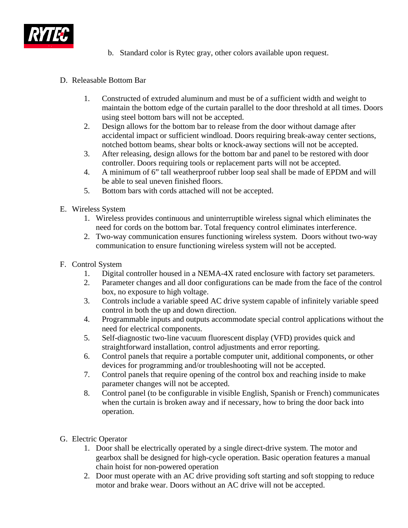

- b. Standard color is Rytec gray, other colors available upon request.
- D. Releasable Bottom Bar
	- 1. Constructed of extruded aluminum and must be of a sufficient width and weight to maintain the bottom edge of the curtain parallel to the door threshold at all times. Doors using steel bottom bars will not be accepted.
	- 2. Design allows for the bottom bar to release from the door without damage after accidental impact or sufficient windload. Doors requiring break-away center sections, notched bottom beams, shear bolts or knock-away sections will not be accepted.
	- 3. After releasing, design allows for the bottom bar and panel to be restored with door controller. Doors requiring tools or replacement parts will not be accepted.
	- 4. A minimum of 6" tall weatherproof rubber loop seal shall be made of EPDM and will be able to seal uneven finished floors.
	- 5. Bottom bars with cords attached will not be accepted.
- E. Wireless System
	- 1. Wireless provides continuous and uninterruptible wireless signal which eliminates the need for cords on the bottom bar. Total frequency control eliminates interference.
	- 2. Two-way communication ensures functioning wireless system. Doors without two-way communication to ensure functioning wireless system will not be accepted.
- F. Control System
	- 1. Digital controller housed in a NEMA-4X rated enclosure with factory set parameters.
	- 2. Parameter changes and all door configurations can be made from the face of the control box, no exposure to high voltage.
	- 3. Controls include a variable speed AC drive system capable of infinitely variable speed control in both the up and down direction.
	- 4. Programmable inputs and outputs accommodate special control applications without the need for electrical components.
	- 5. Self-diagnostic two-line vacuum fluorescent display (VFD) provides quick and straightforward installation, control adjustments and error reporting.
	- 6. Control panels that require a portable computer unit, additional components, or other devices for programming and/or troubleshooting will not be accepted.
	- 7. Control panels that require opening of the control box and reaching inside to make parameter changes will not be accepted.
	- 8. Control panel (to be configurable in visible English, Spanish or French) communicates when the curtain is broken away and if necessary, how to bring the door back into operation.
- G. Electric Operator
	- 1. Door shall be electrically operated by a single direct-drive system. The motor and gearbox shall be designed for high-cycle operation. Basic operation features a manual chain hoist for non-powered operation
	- 2. Door must operate with an AC drive providing soft starting and soft stopping to reduce motor and brake wear. Doors without an AC drive will not be accepted.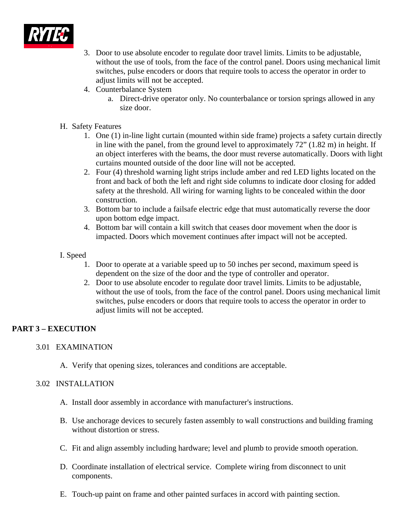

- 3. Door to use absolute encoder to regulate door travel limits. Limits to be adjustable, without the use of tools, from the face of the control panel. Doors using mechanical limit switches, pulse encoders or doors that require tools to access the operator in order to adjust limits will not be accepted.
- 4. Counterbalance System
	- a. Direct-drive operator only. No counterbalance or torsion springs allowed in any size door.

## H. Safety Features

- 1. One (1) in-line light curtain (mounted within side frame) projects a safety curtain directly in line with the panel, from the ground level to approximately 72" (1.82 m) in height. If an object interferes with the beams, the door must reverse automatically. Doors with light curtains mounted outside of the door line will not be accepted.
- 2. Four (4) threshold warning light strips include amber and red LED lights located on the front and back of both the left and right side columns to indicate door closing for added safety at the threshold. All wiring for warning lights to be concealed within the door construction.
- 3. Bottom bar to include a failsafe electric edge that must automatically reverse the door upon bottom edge impact.
- 4. Bottom bar will contain a kill switch that ceases door movement when the door is impacted. Doors which movement continues after impact will not be accepted.

## I. Speed

- 1. Door to operate at a variable speed up to 50 inches per second, maximum speed is dependent on the size of the door and the type of controller and operator.
- 2. Door to use absolute encoder to regulate door travel limits. Limits to be adjustable, without the use of tools, from the face of the control panel. Doors using mechanical limit switches, pulse encoders or doors that require tools to access the operator in order to adjust limits will not be accepted.

# **PART 3 – EXECUTION**

## 3.01 EXAMINATION

A. Verify that opening sizes, tolerances and conditions are acceptable.

## 3.02 INSTALLATION

- A. Install door assembly in accordance with manufacturer's instructions.
- B. Use anchorage devices to securely fasten assembly to wall constructions and building framing without distortion or stress.
- C. Fit and align assembly including hardware; level and plumb to provide smooth operation.
- D. Coordinate installation of electrical service. Complete wiring from disconnect to unit components.
- E. Touch-up paint on frame and other painted surfaces in accord with painting section.